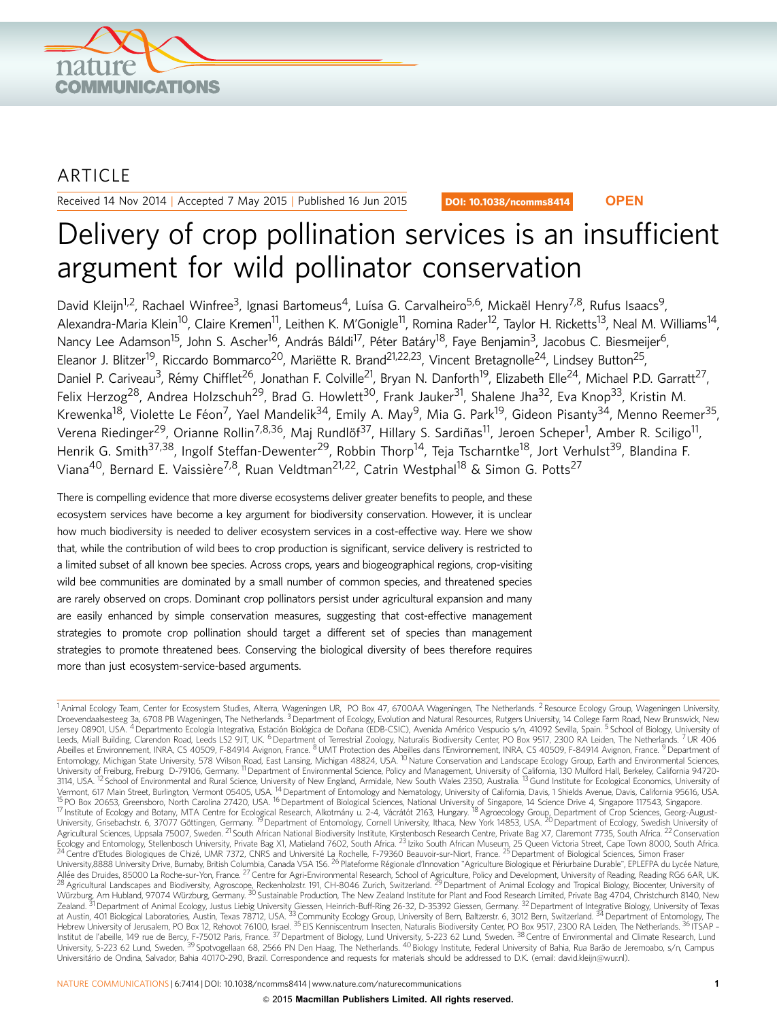

## ARTICLE

Received 14 Nov 2014 | Accepted 7 May 2015 | Published 16 Jun 2015

DOI: 10.1038/ncomms8414 **OPEN**

# Delivery of crop pollination services is an insufficient argument for wild pollinator conservation

David Kleijn<sup>1,2</sup>, Rachael Winfree<sup>3</sup>, Ignasi Bartomeus<sup>4</sup>, Luísa G. Carvalheiro<sup>5,6</sup>, Mickaël Henry<sup>7,8</sup>, Rufus Isaacs<sup>9</sup>, Alexandra-Maria Klein<sup>10</sup>, Claire Kremen<sup>11</sup>, Leithen K. M'Gonigle<sup>11</sup>, Romina Rader<sup>12</sup>, Taylor H. Ricketts<sup>13</sup>, Neal M. Williams<sup>14</sup>, Nancy Lee Adamson<sup>15</sup>, John S. Ascher<sup>16</sup>, András Báldi<sup>17</sup>, Péter Batáry<sup>18</sup>, Faye Benjamin<sup>3</sup>, Jacobus C. Biesmeijer<sup>6</sup>, Eleanor J. Blitzer<sup>19</sup>, Riccardo Bommarco<sup>20</sup>, Mariëtte R. Brand<sup>21,22,23</sup>, Vincent Bretagnolle<sup>24</sup>, Lindsey Button<sup>25</sup>, Daniel P. Cariveau<sup>3</sup>, Rémy Chifflet<sup>26</sup>, Jonathan F. Colville<sup>21</sup>, Bryan N. Danforth<sup>19</sup>, Elizabeth Elle<sup>24</sup>, Michael P.D. Garratt<sup>27</sup>, Felix Herzog<sup>28</sup>, Andrea Holzschuh<sup>29</sup>, Brad G. Howlett<sup>30</sup>, Frank Jauker<sup>31</sup>, Shalene Jha<sup>32</sup>, Eva Knop<sup>33</sup>, Kristin M. Krewenka<sup>18</sup>, Violette Le Féon<sup>7</sup>, Yael Mandelik<sup>34</sup>, Emily A. May<sup>9</sup>, Mia G. Park<sup>19</sup>, Gideon Pisanty<sup>34</sup>, Menno Reemer<sup>35</sup>, Verena Riedinger<sup>29</sup>, Orianne Rollin<sup>7,8,36</sup>, Maj Rundlöf<sup>37</sup>, Hillary S. Sardiñas<sup>11</sup>, Jeroen Scheper<sup>1</sup>, Amber R. Sciligo<sup>11</sup>, Henrik G. Smith<sup>37,38</sup>, Ingolf Steffan-Dewenter<sup>29</sup>, Robbin Thorp<sup>14</sup>, Teja Tscharntke<sup>18</sup>, Jort Verhulst<sup>39</sup>, Blandina F. Viana<sup>40</sup>, Bernard E. Vaissière<sup>7,8</sup>, Ruan Veldtman<sup>21,22</sup>, Catrin Westphal<sup>18</sup> & Simon G. Potts<sup>27</sup>

There is compelling evidence that more diverse ecosystems deliver greater benefits to people, and these ecosystem services have become a key argument for biodiversity conservation. However, it is unclear how much biodiversity is needed to deliver ecosystem services in a cost-effective way. Here we show that, while the contribution of wild bees to crop production is significant, service delivery is restricted to a limited subset of all known bee species. Across crops, years and biogeographical regions, crop-visiting wild bee communities are dominated by a small number of common species, and threatened species are rarely observed on crops. Dominant crop pollinators persist under agricultural expansion and many are easily enhanced by simple conservation measures, suggesting that cost-effective management strategies to promote crop pollination should target a different set of species than management strategies to promote threatened bees. Conserving the biological diversity of bees therefore requires more than just ecosystem-service-based arguments.

<sup>1</sup> Animal Ecology Team, Center for Ecosystem Studies, Alterra, Wageningen UR, PO Box 47, 6700AA Wageningen, The Netherlands. <sup>2</sup> Resource Ecology Group, Wageningen University,<br>Droevendaalsesteeg 3a, 6708 PB Wageningen, Th Jersey 08901, USA. <sup>4</sup> Departmento Ecología Integrativa, Estación Biológica de Doñana (EDB-CSIC), Avenida Américo Vespucio s/n, 41092 Sevilla, Spain. <sup>5</sup> School of Biology, University oi<br>Leeds, Miall Building, Clarendon Ro Abeilles et Environnement, INRA, CS 40509, F-84914 Avignon, France. <sup>8</sup> UMT Protection des Abeilles dans l'Environnement, INRA, CS 40509, F-84914 Avignon, France. <sup>9</sup> Department of<br>Entomology, Michigan State University, 57 University of Freiburg, Freiburg D-79106, Germany.<sup>11</sup> Department of Environmental Science, Policy and Management, University of California, 130 Mulford Hall, Berkeley, California 94720-3114, USA. <sup>12</sup> School of Environmental and Rural Science, University of New England, Armidale, New South Wales 2350, Australia. <sup>13</sup> Gund Institute for Ecological Economics, University of Vermont, 617 Main Street, Burlington, Vermont 05405, USA. <sup>14</sup> Department of Entomology and Nematology, University of California, Davis, 1 Shields Avenue, Davis, California 95616, USA<br><sup>15</sup> PO Box 20653, Greensboro, North C Agricultural Sciences, Uppsala 75007, Sweden. <sup>21</sup> South African National Biodiversity Institute, Kirstenbosch Research Centre, Private Bag X7, Claremont 7735, South Africa. <sup>22</sup> Conservation Ecology and Entomology, Stellenbosch University. Private Bag X1, Matieland 7602, South Africa.<sup>23</sup> Iziko South African Museum, 25 Queen Victoria Street, Cape Town 8000, South Africa.<br><sup>24</sup> Centre d'Etudes Biologiques de Chi University,8888 University Drive, Burnaby, British Columbia, Canada V5A 1S6. <sup>26</sup> Plateforme Régionale d'Innovation "Agriculture Biologique et Périurbaine Durable", EPLEFPA du Lycée Nature, Allée des Druides, 85000 La Roche-sur-Yon, France. <sup>27</sup> Centre for Agri-Environmental Research, School of Agriculture, Policy and Development, University of Reading, Reading RG6 6AR, UK<br><sup>28</sup> Agricultural Landscapes and Bio Würzburg, Am Hubland, 97074 Würzburg, Germany. <sup>30</sup> Sustainable Production, The New Zealand Institute for Plant and Food Research Limited, Private Bag 4704, Christchurch 8140, New<br>Zealand. <sup>31</sup> Department of Animal Ecology Hebrew University of Jerusalem, PO Box 12, Rehovot 76100, Israel. <sup>35</sup> EIS Kenniscentrum Insecten, Naturalis Biodiversity Center, PO Box 9517, 2300 RA Leiden, The Netherlands. <sup>36</sup> ITSAP -<br>Institut de l'abeille, 149 rue de Universitário de Ondina, Salvador, Bahia 40170-290, Brazil. Correspondence and requests for materials should be addressed to D.K. (email: david.kleijn@wur.nl).

NATURE COMMUNICATIONS | 6:7414 | DOI: 10.1038/ncomms8414 | www.nature.com/naturecommunications 1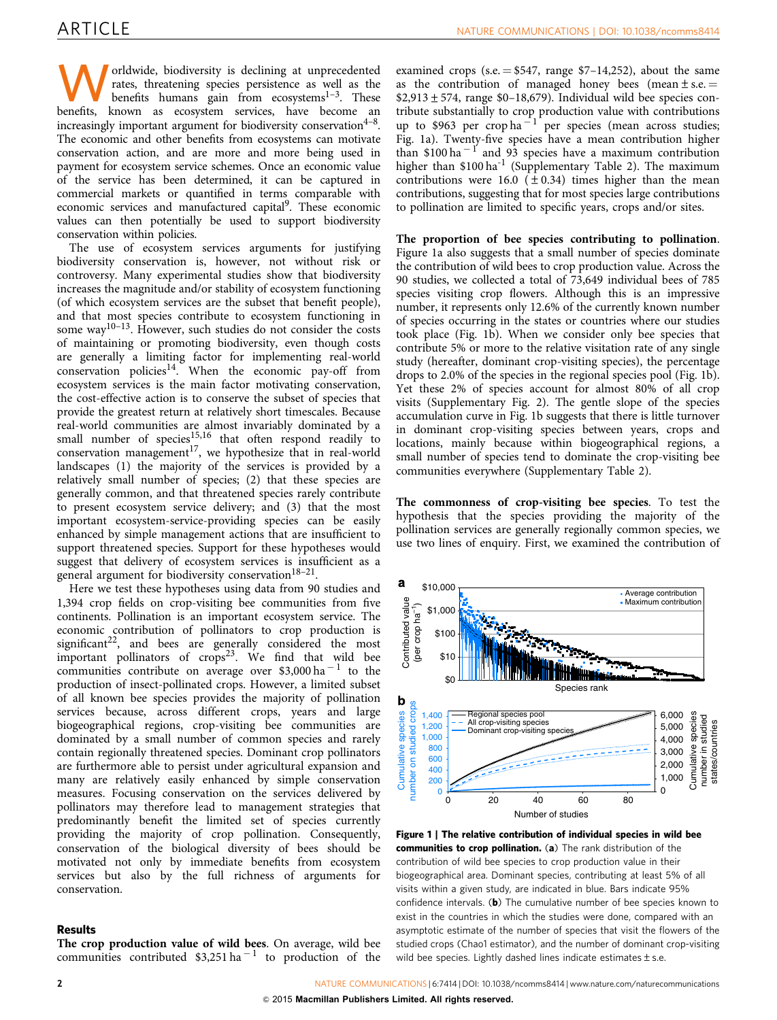Worldwide, biodiversity is declining at unprecedented<br>
benefits humans gain from ecosystems<sup>1-3</sup>. These<br>
benefits known as ecosystem services have become an rates, threatening species persistence as well as the benefits, known as ecosystem services, have become an increasingly important argument for biodiversity conservation $4-8$ . The economic and other benefits from ecosystems can motivate conservation action, and are more and more being used in payment for ecosystem service schemes. Once an economic value of the service has been determined, it can be captured in commercial markets or quantified in terms comparable with economic services and manufactured capital<sup>9</sup>. These economic values can then potentially be used to support biodiversity conservation within policies.

The use of ecosystem services arguments for justifying biodiversity conservation is, however, not without risk or controversy. Many experimental studies show that biodiversity increases the magnitude and/or stability of ecosystem functioning (of which ecosystem services are the subset that benefit people), and that most species contribute to ecosystem functioning in some way10–13. However, such studies do not consider the costs of maintaining or promoting biodiversity, even though costs are generally a limiting factor for implementing real-world conservation policies<sup>14</sup>. When the economic pay-off from ecosystem services is the main factor motivating conservation, the cost-effective action is to conserve the subset of species that provide the greatest return at relatively short timescales. Because real-world communities are almost invariably dominated by a small number of species<sup>15,16</sup> that often respond readily to conservation management<sup>17</sup>, we hypothesize that in real-world landscapes (1) the majority of the services is provided by a relatively small number of species; (2) that these species are generally common, and that threatened species rarely contribute to present ecosystem service delivery; and (3) that the most important ecosystem-service-providing species can be easily enhanced by simple management actions that are insufficient to support threatened species. Support for these hypotheses would suggest that delivery of ecosystem services is insufficient as a general argument for biodiversity conservation<sup>18-21</sup>.

Here we test these hypotheses using data from 90 studies and 1,394 crop fields on crop-visiting bee communities from five continents. Pollination is an important ecosystem service. The economic contribution of pollinators to crop production is significant<sup>22</sup>, and bees are generally considered the most important pollinators of  $\text{crops}^{23}$ . We find that wild bee communities contribute on average over  $$3,000$  ha<sup>-1</sup> to the production of insect-pollinated crops. However, a limited subset of all known bee species provides the majority of pollination services because, across different crops, years and large biogeographical regions, crop-visiting bee communities are dominated by a small number of common species and rarely contain regionally threatened species. Dominant crop pollinators are furthermore able to persist under agricultural expansion and many are relatively easily enhanced by simple conservation measures. Focusing conservation on the services delivered by pollinators may therefore lead to management strategies that predominantly benefit the limited set of species currently providing the majority of crop pollination. Consequently, conservation of the biological diversity of bees should be motivated not only by immediate benefits from ecosystem services but also by the full richness of arguments for conservation.

#### Results

The crop production value of wild bees. On average, wild bee communities contributed  $$3,251$  ha<sup>-1</sup> to production of the

examined crops (s.e.  $= $547$ , range \$7-14,252), about the same as the contribution of managed honey bees (mean  $\pm$  s.e.  $=$  $$2,913 \pm 574$ , range  $$0-18,679$ ). Individual wild bee species contribute substantially to crop production value with contributions up to \$963 per crop ha $^{-1}$  per species (mean across studies; Fig. 1a). Twenty-five species have a mean contribution higher than  $$100$  ha<sup>-1</sup> and 93 species have a maximum contribution higher than  $$100$  ha<sup>-1</sup> (Supplementary Table 2). The maximum contributions were 16.0 ( $\pm$ 0.34) times higher than the mean contributions, suggesting that for most species large contributions to pollination are limited to specific years, crops and/or sites.

The proportion of bee species contributing to pollination. Figure 1a also suggests that a small number of species dominate the contribution of wild bees to crop production value. Across the 90 studies, we collected a total of 73,649 individual bees of 785 species visiting crop flowers. Although this is an impressive number, it represents only 12.6% of the currently known number of species occurring in the states or countries where our studies took place (Fig. 1b). When we consider only bee species that contribute 5% or more to the relative visitation rate of any single study (hereafter, dominant crop-visiting species), the percentage drops to 2.0% of the species in the regional species pool (Fig. 1b). Yet these 2% of species account for almost 80% of all crop visits (Supplementary Fig. 2). The gentle slope of the species accumulation curve in Fig. 1b suggests that there is little turnover in dominant crop-visiting species between years, crops and locations, mainly because within biogeographical regions, a small number of species tend to dominate the crop-visiting bee communities everywhere (Supplementary Table 2).

The commonness of crop-visiting bee species. To test the hypothesis that the species providing the majority of the pollination services are generally regionally common species, we use two lines of enquiry. First, we examined the contribution of



Figure 1 | The relative contribution of individual species in wild bee communities to crop pollination. (a) The rank distribution of the contribution of wild bee species to crop production value in their biogeographical area. Dominant species, contributing at least 5% of all visits within a given study, are indicated in blue. Bars indicate 95% confidence intervals. (b) The cumulative number of bee species known to exist in the countries in which the studies were done, compared with an asymptotic estimate of the number of species that visit the flowers of the studied crops (Chao1 estimator), and the number of dominant crop-visiting wild bee species. Lightly dashed lines indicate estimates  $\pm$  s.e.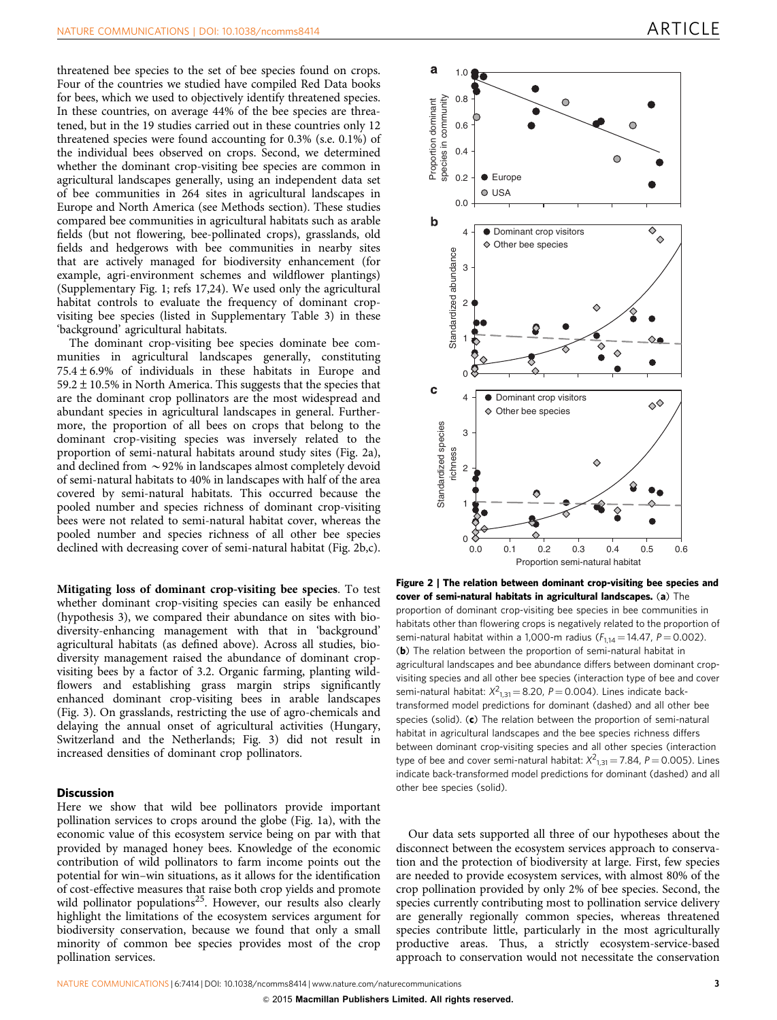threatened bee species to the set of bee species found on crops. Four of the countries we studied have compiled Red Data books for bees, which we used to objectively identify threatened species. In these countries, on average 44% of the bee species are threatened, but in the 19 studies carried out in these countries only 12 threatened species were found accounting for 0.3% (s.e. 0.1%) of the individual bees observed on crops. Second, we determined whether the dominant crop-visiting bee species are common in agricultural landscapes generally, using an independent data set of bee communities in 264 sites in agricultural landscapes in Europe and North America (see Methods section). These studies compared bee communities in agricultural habitats such as arable fields (but not flowering, bee-pollinated crops), grasslands, old fields and hedgerows with bee communities in nearby sites that are actively managed for biodiversity enhancement (for example, agri-environment schemes and wildflower plantings) (Supplementary Fig. 1; refs 17,24). We used only the agricultural habitat controls to evaluate the frequency of dominant cropvisiting bee species (listed in Supplementary Table 3) in these 'background' agricultural habitats.

The dominant crop-visiting bee species dominate bee communities in agricultural landscapes generally, constituting  $75.4 \pm 6.9\%$  of individuals in these habitats in Europe and 59.2 $\pm$  10.5% in North America. This suggests that the species that are the dominant crop pollinators are the most widespread and abundant species in agricultural landscapes in general. Furthermore, the proportion of all bees on crops that belong to the dominant crop-visiting species was inversely related to the proportion of semi-natural habitats around study sites (Fig. 2a), and declined from  $\sim$  92% in landscapes almost completely devoid of semi-natural habitats to 40% in landscapes with half of the area covered by semi-natural habitats. This occurred because the pooled number and species richness of dominant crop-visiting bees were not related to semi-natural habitat cover, whereas the pooled number and species richness of all other bee species declined with decreasing cover of semi-natural habitat (Fig. 2b,c).

Mitigating loss of dominant crop-visiting bee species. To test whether dominant crop-visiting species can easily be enhanced (hypothesis 3), we compared their abundance on sites with biodiversity-enhancing management with that in 'background' agricultural habitats (as defined above). Across all studies, biodiversity management raised the abundance of dominant cropvisiting bees by a factor of 3.2. Organic farming, planting wildflowers and establishing grass margin strips significantly enhanced dominant crop-visiting bees in arable landscapes (Fig. 3). On grasslands, restricting the use of agro-chemicals and delaying the annual onset of agricultural activities (Hungary, Switzerland and the Netherlands; Fig. 3) did not result in increased densities of dominant crop pollinators.

### **Discussion**

Here we show that wild bee pollinators provide important pollination services to crops around the globe (Fig. 1a), with the economic value of this ecosystem service being on par with that provided by managed honey bees. Knowledge of the economic contribution of wild pollinators to farm income points out the potential for win–win situations, as it allows for the identification of cost-effective measures that raise both crop yields and promote wild pollinator populations<sup>25</sup>. However, our results also clearly highlight the limitations of the ecosystem services argument for biodiversity conservation, because we found that only a small minority of common bee species provides most of the crop pollination services.



Figure 2 | The relation between dominant crop-visiting bee species and cover of semi-natural habitats in agricultural landscapes. (a) The proportion of dominant crop-visiting bee species in bee communities in habitats other than flowering crops is negatively related to the proportion of semi-natural habitat within a 1,000-m radius ( $F_{1,14}$  = 14.47, P = 0.002). (b) The relation between the proportion of semi-natural habitat in agricultural landscapes and bee abundance differs between dominant cropvisiting species and all other bee species (interaction type of bee and cover semi-natural habitat:  $X^2_{1,31} = 8.20$ ,  $P = 0.004$ ). Lines indicate backtransformed model predictions for dominant (dashed) and all other bee species (solid). (c) The relation between the proportion of semi-natural habitat in agricultural landscapes and the bee species richness differs between dominant crop-visiting species and all other species (interaction type of bee and cover semi-natural habitat:  $X^2_{1,31} = 7.84$ ,  $P = 0.005$ ). Lines indicate back-transformed model predictions for dominant (dashed) and all other bee species (solid).

Our data sets supported all three of our hypotheses about the disconnect between the ecosystem services approach to conservation and the protection of biodiversity at large. First, few species are needed to provide ecosystem services, with almost 80% of the crop pollination provided by only 2% of bee species. Second, the species currently contributing most to pollination service delivery are generally regionally common species, whereas threatened species contribute little, particularly in the most agriculturally productive areas. Thus, a strictly ecosystem-service-based approach to conservation would not necessitate the conservation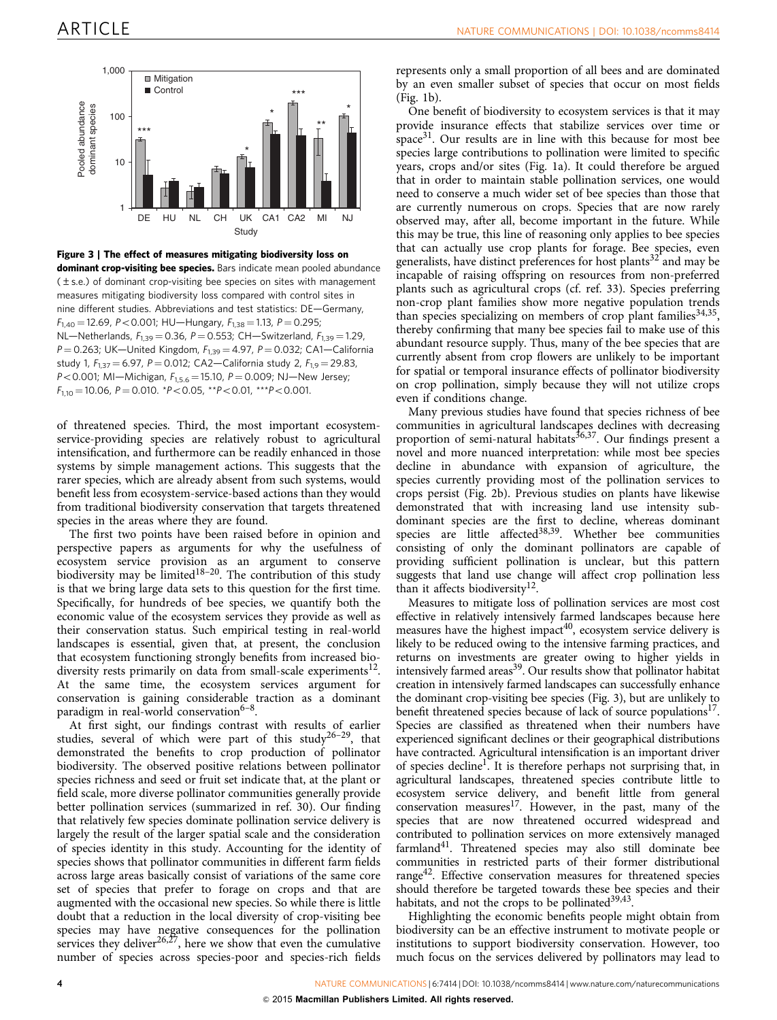

Figure 3 | The effect of measures mitigating biodiversity loss on dominant crop-visiting bee species. Bars indicate mean pooled abundance (±s.e.) of dominant crop-visiting bee species on sites with management measures mitigating biodiversity loss compared with control sites in nine different studies. Abbreviations and test statistics: DE—Germany,  $F_{1,40}$  = 12.69, P < 0.001; HU—Hungary,  $F_{1,38}$  = 1.13, P = 0.295; NL—Netherlands,  $F_{1,39} = 0.36$ ,  $P = 0.553$ ; CH—Switzerland,  $F_{1,39} = 1.29$ ,  $P = 0.263$ ; UK—United Kingdom,  $F_{1,39} = 4.97$ ,  $P = 0.032$ ; CA1—California study 1,  $F_{1,37} = 6.97$ ,  $P = 0.012$ ; CA2—California study 2,  $F_{1,9} = 29.83$ , P<0.001; MI-Michigan,  $F_{1,5,6} = 15.10$ , P = 0.009; NJ-New Jersey;  $F_{1,10}$  = 10.06, P = 0.010. \*P < 0.05, \*\*P < 0.01, \*\*\*P < 0.001.

of threatened species. Third, the most important ecosystemservice-providing species are relatively robust to agricultural intensification, and furthermore can be readily enhanced in those systems by simple management actions. This suggests that the rarer species, which are already absent from such systems, would benefit less from ecosystem-service-based actions than they would from traditional biodiversity conservation that targets threatened species in the areas where they are found.

The first two points have been raised before in opinion and perspective papers as arguments for why the usefulness of ecosystem service provision as an argument to conserve biodiversity may be limited<sup>18–20</sup>. The contribution of this study is that we bring large data sets to this question for the first time. Specifically, for hundreds of bee species, we quantify both the economic value of the ecosystem services they provide as well as their conservation status. Such empirical testing in real-world landscapes is essential, given that, at present, the conclusion that ecosystem functioning strongly benefits from increased biodiversity rests primarily on data from small-scale experiments<sup>12</sup>. At the same time, the ecosystem services argument for conservation is gaining considerable traction as a dominant paradigm in real-world conservation $6-8$ .

At first sight, our findings contrast with results of earlier studies, several of which were part of this study<sup>26-29</sup>, that demonstrated the benefits to crop production of pollinator biodiversity. The observed positive relations between pollinator species richness and seed or fruit set indicate that, at the plant or field scale, more diverse pollinator communities generally provide better pollination services (summarized in ref. 30). Our finding that relatively few species dominate pollination service delivery is largely the result of the larger spatial scale and the consideration of species identity in this study. Accounting for the identity of species shows that pollinator communities in different farm fields across large areas basically consist of variations of the same core set of species that prefer to forage on crops and that are augmented with the occasional new species. So while there is little doubt that a reduction in the local diversity of crop-visiting bee species may have negative consequences for the pollination services they deliver $26,27$ , here we show that even the cumulative number of species across species-poor and species-rich fields

represents only a small proportion of all bees and are dominated by an even smaller subset of species that occur on most fields (Fig. 1b).

One benefit of biodiversity to ecosystem services is that it may provide insurance effects that stabilize services over time or space<sup>31</sup>. Our results are in line with this because for most bee species large contributions to pollination were limited to specific years, crops and/or sites (Fig. 1a). It could therefore be argued that in order to maintain stable pollination services, one would need to conserve a much wider set of bee species than those that are currently numerous on crops. Species that are now rarely observed may, after all, become important in the future. While this may be true, this line of reasoning only applies to bee species that can actually use crop plants for forage. Bee species, even generalists, have distinct preferences for host plants<sup>32</sup> and may be incapable of raising offspring on resources from non-preferred plants such as agricultural crops (cf. ref. 33). Species preferring non-crop plant families show more negative population trends than species specializing on members of crop plant families<sup>34,35</sup>, thereby confirming that many bee species fail to make use of this abundant resource supply. Thus, many of the bee species that are currently absent from crop flowers are unlikely to be important for spatial or temporal insurance effects of pollinator biodiversity on crop pollination, simply because they will not utilize crops even if conditions change.

Many previous studies have found that species richness of bee communities in agricultural landscapes declines with decreasing proportion of semi-natural habitats<sup>36,37</sup>. Our findings present a novel and more nuanced interpretation: while most bee species decline in abundance with expansion of agriculture, the species currently providing most of the pollination services to crops persist (Fig. 2b). Previous studies on plants have likewise demonstrated that with increasing land use intensity subdominant species are the first to decline, whereas dominant species are little affected<sup>38,39</sup>. Whether bee communities consisting of only the dominant pollinators are capable of providing sufficient pollination is unclear, but this pattern suggests that land use change will affect crop pollination less than it affects biodiversity<sup>12</sup>.

Measures to mitigate loss of pollination services are most cost effective in relatively intensively farmed landscapes because here measures have the highest impact<sup>40</sup>, ecosystem service delivery is likely to be reduced owing to the intensive farming practices, and returns on investments are greater owing to higher yields in intensively farmed areas<sup>39</sup>. Our results show that pollinator habitat creation in intensively farmed landscapes can successfully enhance the dominant crop-visiting bee species (Fig. 3), but are unlikely to benefit threatened species because of lack of source populations<sup>17</sup>. Species are classified as threatened when their numbers have experienced significant declines or their geographical distributions have contracted. Agricultural intensification is an important driver of species decline1. It is therefore perhaps not surprising that, in agricultural landscapes, threatened species contribute little to ecosystem service delivery, and benefit little from general conservation measures $^{17}$ . However, in the past, many of the species that are now threatened occurred widespread and contributed to pollination services on more extensively managed farmland<sup>41</sup>. Threatened species may also still dominate bee communities in restricted parts of their former distributional range42. Effective conservation measures for threatened species should therefore be targeted towards these bee species and their habitats, and not the crops to be pollinated $39,43$ .

Highlighting the economic benefits people might obtain from biodiversity can be an effective instrument to motivate people or institutions to support biodiversity conservation. However, too much focus on the services delivered by pollinators may lead to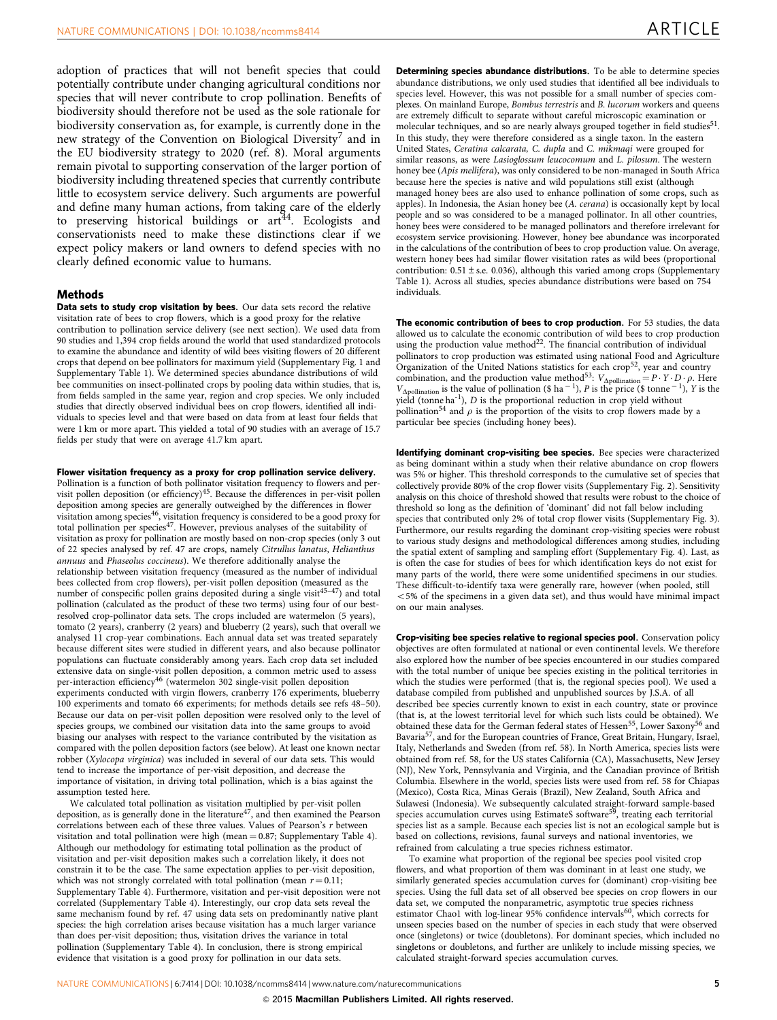adoption of practices that will not benefit species that could potentially contribute under changing agricultural conditions nor species that will never contribute to crop pollination. Benefits of biodiversity should therefore not be used as the sole rationale for biodiversity conservation as, for example, is currently done in the new strategy of the Convention on Biological Diversity<sup>7</sup> and in the EU biodiversity strategy to 2020 (ref. 8). Moral arguments remain pivotal to supporting conservation of the larger portion of biodiversity including threatened species that currently contribute little to ecosystem service delivery. Such arguments are powerful and define many human actions, from taking care of the elderly to preserving historical buildings or  $art^{44}$ . Ecologists and conservationists need to make these distinctions clear if we expect policy makers or land owners to defend species with no clearly defined economic value to humans.

#### Methods

Data sets to study crop visitation by bees. Our data sets record the relative visitation rate of bees to crop flowers, which is a good proxy for the relative contribution to pollination service delivery (see next section). We used data from 90 studies and 1,394 crop fields around the world that used standardized protocols to examine the abundance and identity of wild bees visiting flowers of 20 different crops that depend on bee pollinators for maximum yield (Supplementary Fig. 1 and Supplementary Table 1). We determined species abundance distributions of wild bee communities on insect-pollinated crops by pooling data within studies, that is, from fields sampled in the same year, region and crop species. We only included studies that directly observed individual bees on crop flowers, identified all individuals to species level and that were based on data from at least four fields that were 1 km or more apart. This yielded a total of 90 studies with an average of 15.7 fields per study that were on average 41.7 km apart.

#### Flower visitation frequency as a proxy for crop pollination service delivery.

Pollination is a function of both pollinator visitation frequency to flowers and pervisit pollen deposition (or efficiency)<sup>45</sup>. Because the differences in per-visit pollen deposition among species are generally outweighed by the differences in flower<br>visitation among species<sup>46</sup>, visitation frequency is considered to be a good proxy for total pollination per species<sup>47</sup>. However, previous analyses of the suitability of visitation as proxy for pollination are mostly based on non-crop species (only 3 out of 22 species analysed by ref. 47 are crops, namely Citrullus lanatus, Helianthus annuus and Phaseolus coccineus). We therefore additionally analyse the relationship between visitation frequency (measured as the number of individual bees collected from crop flowers), per-visit pollen deposition (measured as the number of conspecific pollen grains deposited during a single visit45–47) and total pollination (calculated as the product of these two terms) using four of our bestresolved crop-pollinator data sets. The crops included are watermelon (5 years), tomato (2 years), cranberry (2 years) and blueberry (2 years), such that overall we analysed 11 crop-year combinations. Each annual data set was treated separately because different sites were studied in different years, and also because pollinator populations can fluctuate considerably among years. Each crop data set included extensive data on single-visit pollen deposition, a common metric used to assess per-interaction efficiency46 (watermelon 302 single-visit pollen deposition experiments conducted with virgin flowers, cranberry 176 experiments, blueberry 100 experiments and tomato 66 experiments; for methods details see refs 48–50). Because our data on per-visit pollen deposition were resolved only to the level of species groups, we combined our visitation data into the same groups to avoid biasing our analyses with respect to the variance contributed by the visitation as compared with the pollen deposition factors (see below). At least one known nectar robber (Xylocopa virginica) was included in several of our data sets. This would tend to increase the importance of per-visit deposition, and decrease the importance of visitation, in driving total pollination, which is a bias against the assumption tested here.

We calculated total pollination as visitation multiplied by per-visit pollen deposition, as is generally done in the literature<sup>47</sup>, and then examined the Pearson correlations between each of these three values. Values of Pearson's r between visitation and total pollination were high (mean  $= 0.87$ ; Supplementary Table 4). Although our methodology for estimating total pollination as the product of visitation and per-visit deposition makes such a correlation likely, it does not constrain it to be the case. The same expectation applies to per-visit deposition, which was not strongly correlated with total pollination (mean  $r = 0.11$ ; Supplementary Table 4). Furthermore, visitation and per-visit deposition were not correlated (Supplementary Table 4). Interestingly, our crop data sets reveal the same mechanism found by ref. 47 using data sets on predominantly native plant species: the high correlation arises because visitation has a much larger variance than does per-visit deposition; thus, visitation drives the variance in total pollination (Supplementary Table 4). In conclusion, there is strong empirical evidence that visitation is a good proxy for pollination in our data sets.

Determining species abundance distributions. To be able to determine species abundance distributions, we only used studies that identified all bee individuals to species level. However, this was not possible for a small number of species complexes. On mainland Europe, Bombus terrestris and B. lucorum workers and queens are extremely difficult to separate without careful microscopic examination or molecular techniques, and so are nearly always grouped together in field studies<sup>51</sup>. In this study, they were therefore considered as a single taxon. In the eastern United States, Ceratina calcarata, C. dupla and C. mikmaqi were grouped for similar reasons, as were Lasioglossum leucocomum and L. pilosum. The western honey bee (Apis mellifera), was only considered to be non-managed in South Africa because here the species is native and wild populations still exist (although managed honey bees are also used to enhance pollination of some crops, such as apples). In Indonesia, the Asian honey bee (A. cerana) is occasionally kept by local people and so was considered to be a managed pollinator. In all other countries, honey bees were considered to be managed pollinators and therefore irrelevant for ecosystem service provisioning. However, honey bee abundance was incorporated in the calculations of the contribution of bees to crop production value. On average, western honey bees had similar flower visitation rates as wild bees (proportional contribution:  $0.51 \pm$  s.e.  $0.036$ ), although this varied among crops (Supplementary Table 1). Across all studies, species abundance distributions were based on 754 individuals.

The economic contribution of bees to crop production. For 53 studies, the data allowed us to calculate the economic contribution of wild bees to crop production using the production value method<sup>22</sup>. The financial contribution of individual pollinators to crop production was estimated using national Food and Agriculture Organization of the United Nations statistics for each crop<sup>52</sup>, year and country combination, and the production value method<sup>53</sup>:  $V_{\Delta \text{polination}} = P \cdot Y \cdot D \cdot \rho$ . Here  $V_{\Delta \text{polination}}$  is the value of pollination (\$ ha<sup>-1</sup>), P is the price (\$ tonne<sup>-1</sup>), Y is the yield (tonne ha<sup>-1</sup>),  $D$  is the proportional reduction in crop yield without pollination<sup>54</sup> and  $\rho$  is the proportion of the visits to crop flowers made by a particular bee species (including honey bees).

Identifying dominant crop-visiting bee species. Bee species were characterized as being dominant within a study when their relative abundance on crop flowers was 5% or higher. This threshold corresponds to the cumulative set of species that collectively provide 80% of the crop flower visits (Supplementary Fig. 2). Sensitivity analysis on this choice of threshold showed that results were robust to the choice of threshold so long as the definition of 'dominant' did not fall below including species that contributed only 2% of total crop flower visits (Supplementary Fig. 3). Furthermore, our results regarding the dominant crop-visiting species were robust to various study designs and methodological differences among studies, including the spatial extent of sampling and sampling effort (Supplementary Fig. 4). Last, as is often the case for studies of bees for which identification keys do not exist for many parts of the world, there were some unidentified specimens in our studies. These difficult-to-identify taxa were generally rare, however (when pooled, still  $<$  5% of the specimens in a given data set), and thus would have minimal impact on our main analyses.

Crop-visiting bee species relative to regional species pool. Conservation policy objectives are often formulated at national or even continental levels. We therefore also explored how the number of bee species encountered in our studies compared with the total number of unique bee species existing in the political territories in which the studies were performed (that is, the regional species pool). We used a database compiled from published and unpublished sources by J.S.A. of all described bee species currently known to exist in each country, state or province (that is, at the lowest territorial level for which such lists could be obtained). We obtained these data for the German federal states of Hessen<sup>55</sup>, Lower Saxony<sup>56</sup> and Bavaria57, and for the European countries of France, Great Britain, Hungary, Israel, Italy, Netherlands and Sweden (from ref. 58). In North America, species lists were obtained from ref. 58, for the US states California (CA), Massachusetts, New Jersey (NJ), New York, Pennsylvania and Virginia, and the Canadian province of British Columbia. Elsewhere in the world, species lists were used from ref. 58 for Chiapas (Mexico), Costa Rica, Minas Gerais (Brazil), New Zealand, South Africa and Sulawesi (Indonesia). We subsequently calculated straight-forward sample-based species accumulation curves using EstimateS software59, treating each territorial species list as a sample. Because each species list is not an ecological sample but is based on collections, revisions, faunal surveys and national inventories, we refrained from calculating a true species richness estimator.

To examine what proportion of the regional bee species pool visited crop flowers, and what proportion of them was dominant in at least one study, we similarly generated species accumulation curves for (dominant) crop-visiting bee species. Using the full data set of all observed bee species on crop flowers in our data set, we computed the nonparametric, asymptotic true species richness estimator Chao1 with log-linear 95% confidence intervals<sup>60</sup>, which corrects for unseen species based on the number of species in each study that were observed once (singletons) or twice (doubletons). For dominant species, which included no singletons or doubletons, and further are unlikely to include missing species, we calculated straight-forward species accumulation curves.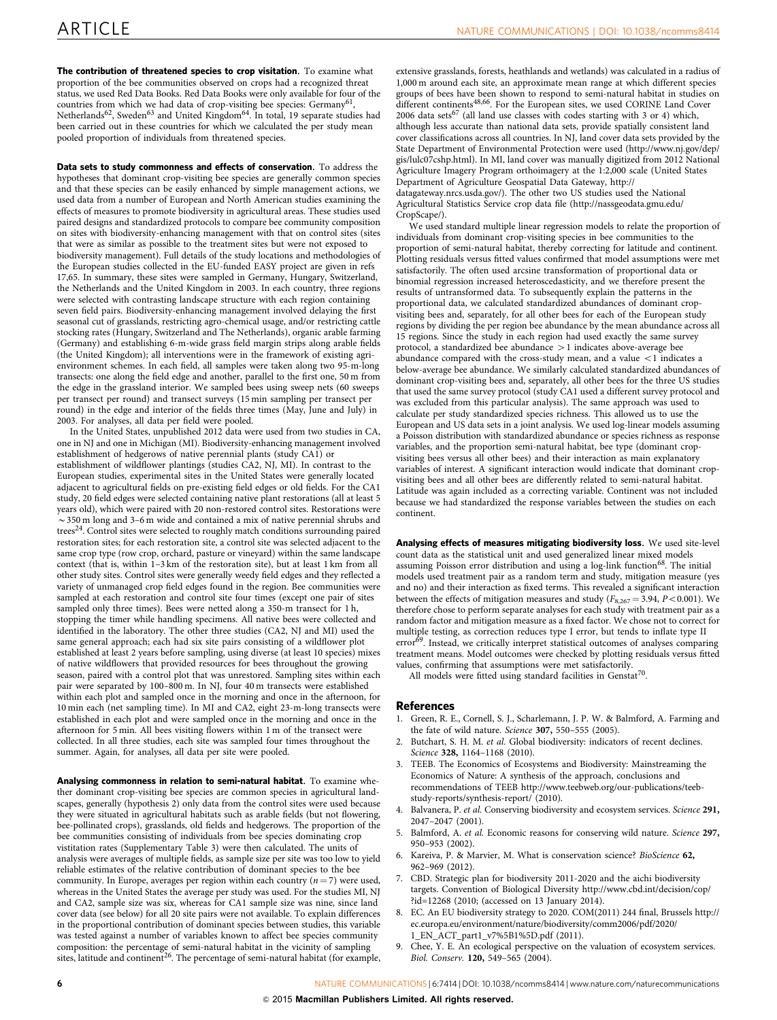The contribution of threatened species to crop visitation. To examine what proportion of the bee communities observed on crops had a recognized threat status, we used Red Data Books. Red Data Books were only available for four of the countries from which we had data of crop-visiting bee species: Germany<sup>61</sup>, Netherlands<sup>62</sup>, Sweden<sup>63</sup> and United Kingdom<sup>64</sup>. In total, 19 separate studies had been carried out in these countries for which we calculated the per study mean pooled proportion of individuals from threatened species.

Data sets to study commonness and effects of conservation. To address the hypotheses that dominant crop-visiting bee species are generally common species and that these species can be easily enhanced by simple management actions, we used data from a number of European and North American studies examining the effects of measures to promote biodiversity in agricultural areas. These studies used paired designs and standardized protocols to compare bee community composition on sites with biodiversity-enhancing management with that on control sites (sites that were as similar as possible to the treatment sites but were not exposed to biodiversity management). Full details of the study locations and methodologies of the European studies collected in the EU-funded EASY project are given in refs 17,65. In summary, these sites were sampled in Germany, Hungary, Switzerland, the Netherlands and the United Kingdom in 2003. In each country, three regions were selected with contrasting landscape structure with each region containing seven field pairs. Biodiversity-enhancing management involved delaying the first seasonal cut of grasslands, restricting agro-chemical usage, and/or restricting cattle stocking rates (Hungary, Switzerland and The Netherlands), organic arable farming (Germany) and establishing 6-m-wide grass field margin strips along arable fields (the United Kingdom); all interventions were in the framework of existing agrienvironment schemes. In each field, all samples were taken along two 95-m-long transects: one along the field edge and another, parallel to the first one, 50 m from the edge in the grassland interior. We sampled bees using sweep nets (60 sweeps per transect per round) and transect surveys (15 min sampling per transect per round) in the edge and interior of the fields three times (May, June and July) in 2003. For analyses, all data per field were pooled.

In the United States, unpublished 2012 data were used from two studies in CA, one in NJ and one in Michigan (MI). Biodiversity-enhancing management involved establishment of hedgerows of native perennial plants (study CA1) or establishment of wildflower plantings (studies CA2, NJ, MI). In contrast to the European studies, experimental sites in the United States were generally located adjacent to agricultural fields on pre-existing field edges or old fields. For the CA1 study, 20 field edges were selected containing native plant restorations (all at least 5 years old), which were paired with 20 non-restored control sites. Restorations were  $\sim$  350 m long and 3–6 m wide and contained a mix of native perennial shrubs and trees<sup>24</sup>. Control sites were selected to roughly match conditions surrounding paired restoration sites; for each restoration site, a control site was selected adjacent to the same crop type (row crop, orchard, pasture or vineyard) within the same landscape context (that is, within 1–3 km of the restoration site), but at least 1 km from all other study sites. Control sites were generally weedy field edges and they reflected a variety of unmanaged crop field edges found in the region. Bee communities were sampled at each restoration and control site four times (except one pair of sites sampled only three times). Bees were netted along a 350-m transect for 1 h, stopping the timer while handling specimens. All native bees were collected and identified in the laboratory. The other three studies (CA2, NJ and MI) used the same general approach; each had six site pairs consisting of a wildflower plot established at least 2 years before sampling, using diverse (at least 10 species) mixes of native wildflowers that provided resources for bees throughout the growing season, paired with a control plot that was unrestored. Sampling sites within each pair were separated by 100–800 m. In NJ, four 40 m transects were established within each plot and sampled once in the morning and once in the afternoon, for 10 min each (net sampling time). In MI and CA2, eight 23-m-long transects were established in each plot and were sampled once in the morning and once in the afternoon for 5 min. All bees visiting flowers within 1 m of the transect were collected. In all three studies, each site was sampled four times throughout the summer. Again, for analyses, all data per site were pooled.

Analysing commonness in relation to semi-natural habitat. To examine whether dominant crop-visiting bee species are common species in agricultural landscapes, generally (hypothesis 2) only data from the control sites were used because they were situated in agricultural habitats such as arable fields (but not flowering, bee-pollinated crops), grasslands, old fields and hedgerows. The proportion of the bee communities consisting of individuals from bee species dominating crop vistitation rates (Supplementary Table 3) were then calculated. The units of analysis were averages of multiple fields, as sample size per site was too low to yield reliable estimates of the relative contribution of dominant species to the bee community. In Europe, averages per region within each country ( $n = 7$ ) were used, whereas in the United States the average per study was used. For the studies MI, NJ and CA2, sample size was six, whereas for CA1 sample size was nine, since land cover data (see below) for all 20 site pairs were not available. To explain differences in the proportional contribution of dominant species between studies, this variable was tested against a number of variables known to affect bee species community composition: the percentage of semi-natural habitat in the vicinity of sampling<br>sites, latitude and continent<sup>26</sup>. The percentage of semi-natural habitat (for example,

extensive grasslands, forests, heathlands and wetlands) was calculated in a radius of 1,000 m around each site, an approximate mean range at which different species groups of bees have been shown to respond to semi-natural habitat in studies on different continents<sup>48,66</sup>. For the European sites, we used CORINE Land Cover 2006 data sets<sup>67</sup> (all land use classes with codes starting with 3 or 4) which, although less accurate than national data sets, provide spatially consistent land cover classifications across all countries. In NJ, land cover data sets provided by the State Department of Environmental Protection were used (http://www.nj.gov/dep/ gis/lulc07cshp.html). In MI, land cover was manually digitized from 2012 National Agriculture Imagery Program orthoimagery at the 1:2,000 scale (United States Department of Agriculture Geospatial Data Gateway, http:// datagateway.nrcs.usda.gov/). The other two US studies used the National Agricultural Statistics Service crop data file (http://nassgeodata.gmu.edu/ CropScape/).

We used standard multiple linear regression models to relate the proportion of individuals from dominant crop-visiting species in bee communities to the proportion of semi-natural habitat, thereby correcting for latitude and continent. Plotting residuals versus fitted values confirmed that model assumptions were met satisfactorily. The often used arcsine transformation of proportional data or binomial regression increased heteroscedasticity, and we therefore present the results of untransformed data. To subsequently explain the patterns in the proportional data, we calculated standardized abundances of dominant cropvisiting bees and, separately, for all other bees for each of the European study regions by dividing the per region bee abundance by the mean abundance across all 15 regions. Since the study in each region had used exactly the same survey protocol, a standardized bee abundance  $>1$  indicates above-average bee abundance compared with the cross-study mean, and a value  $\lt 1$  indicates a below-average bee abundance. We similarly calculated standardized abundances of dominant crop-visiting bees and, separately, all other bees for the three US studies that used the same survey protocol (study CA1 used a different survey protocol and was excluded from this particular analysis). The same approach was used to calculate per study standardized species richness. This allowed us to use the European and US data sets in a joint analysis. We used log-linear models assuming a Poisson distribution with standardized abundance or species richness as response variables, and the proportion semi-natural habitat, bee type (dominant cropvisiting bees versus all other bees) and their interaction as main explanatory variables of interest. A significant interaction would indicate that dominant cropvisiting bees and all other bees are differently related to semi-natural habitat. Latitude was again included as a correcting variable. Continent was not included because we had standardized the response variables between the studies on each continent.

Analysing effects of measures mitigating biodiversity loss. We used site-level count data as the statistical unit and used generalized linear mixed models assuming Poisson error distribution and using a log-link function<sup>68</sup>. The initial models used treatment pair as a random term and study, mitigation measure (yes and no) and their interaction as fixed terms. This revealed a significant interaction between the effects of mitigation measures and study ( $F_{8,267} = 3.94$ ,  $P < 0.001$ ). We therefore chose to perform separate analyses for each study with treatment pair as a random factor and mitigation measure as a fixed factor. We chose not to correct for multiple testing, as correction reduces type I error, but tends to inflate type II  $error<sup>69</sup>$ . Instead, we critically interpret statistical outcomes of analyses comparing treatment means. Model outcomes were checked by plotting residuals versus fitted values, confirming that assumptions were met satisfactorily.

All models were fitted using standard facilities in Genstat<sup>70</sup>.

#### **References**

- 1. Green, R. E., Cornell, S. J., Scharlemann, J. P. W. & Balmford, A. Farming and the fate of wild nature. Science 307, 550–555 (2005).
- Butchart, S. H. M. et al. Global biodiversity: indicators of recent declines. Science 328, 1164-1168 (2010).
- 3. TEEB. The Economics of Ecosystems and Biodiversity: Mainstreaming the Economics of Nature: A synthesis of the approach, conclusions and recommendations of TEEB http://www.teebweb.org/our-publications/teebstudy-reports/synthesis-report/ (2010).
- Balvanera, P. et al. Conserving biodiversity and ecosystem services. Science 291, 2047–2047 (2001).
- 5. Balmford, A. et al. Economic reasons for conserving wild nature. Science 297, 950–953 (2002).
- 6. Kareiva, P. & Marvier, M. What is conservation science? BioScience 62, 962–969 (2012).
- 7. CBD. Strategic plan for biodiversity 2011-2020 and the aichi biodiversity targets. Convention of Biological Diversity http://www.cbd.int/decision/cop/ ?id=12268 (2010; (accessed on 13 January 2014).
- 8. EC. An EU biodiversity strategy to 2020. COM(2011) 244 final, Brussels http:// ec.europa.eu/environment/nature/biodiversity/comm2006/pdf/2020/ 1\_EN\_ACT\_part1\_v7%5B1%5D.pdf (2011).
- 9. Chee, Y. E. An ecological perspective on the valuation of ecosystem services. Biol. Conserv. 120, 549–565 (2004).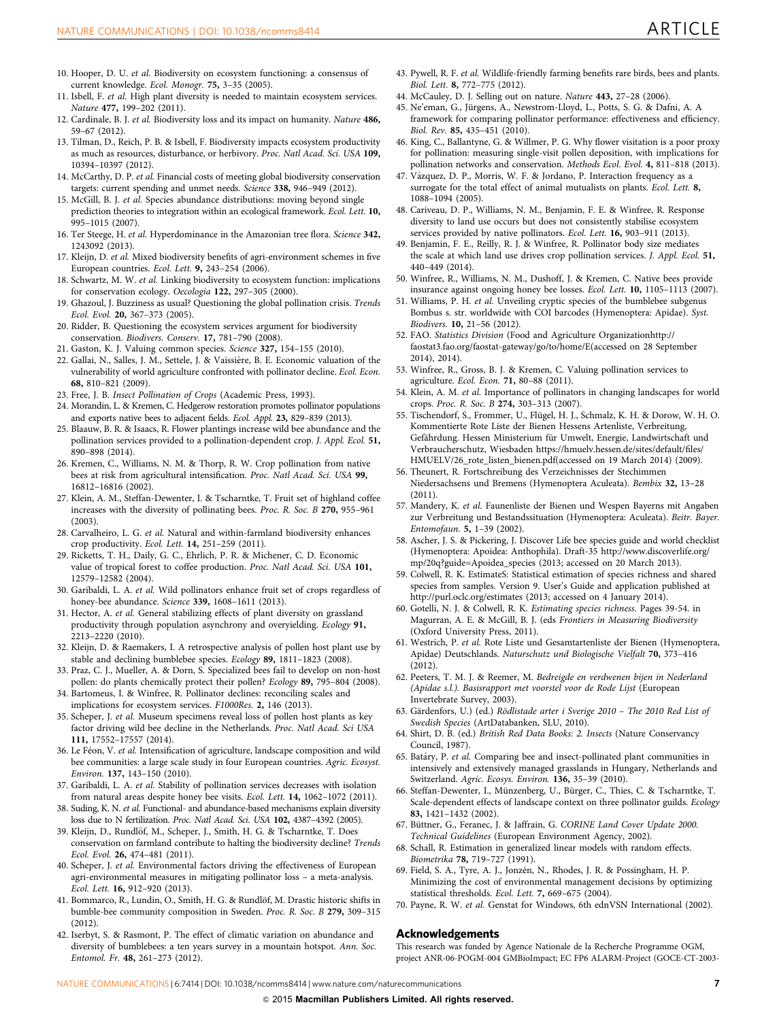- 10. Hooper, D. U. et al. Biodiversity on ecosystem functioning: a consensus of current knowledge. Ecol. Monogr. 75, 3–35 (2005).
- 11. Isbell, F. et al. High plant diversity is needed to maintain ecosystem services. Nature 477, 199–202 (2011).
- 12. Cardinale, B. J. et al. Biodiversity loss and its impact on humanity. Nature 486, 59–67 (2012).
- 13. Tilman, D., Reich, P. B. & Isbell, F. Biodiversity impacts ecosystem productivity as much as resources, disturbance, or herbivory. Proc. Natl Acad. Sci. USA 109, 10394–10397 (2012).
- 14. McCarthy, D. P. et al. Financial costs of meeting global biodiversity conservation targets: current spending and unmet needs. Science 338, 946–949 (2012).
- 15. McGill, B. J. et al. Species abundance distributions: moving beyond single prediction theories to integration within an ecological framework. Ecol. Lett. 10, 995–1015 (2007).
- 16. Ter Steege, H. et al. Hyperdominance in the Amazonian tree flora. Science 342, 1243092 (2013).
- 17. Kleijn, D. et al. Mixed biodiversity benefits of agri-environment schemes in five European countries. Ecol. Lett. 9, 243–254 (2006).
- 18. Schwartz, M. W. et al. Linking biodiversity to ecosystem function: implications for conservation ecology. Oecologia 122, 297-305 (2000)
- 19. Ghazoul, J. Buzziness as usual? Questioning the global pollination crisis. Trends Ecol. Evol. 20, 367–373 (2005).
- 20. Ridder, B. Questioning the ecosystem services argument for biodiversity conservation. Biodivers. Conserv. 17, 781–790 (2008).
- 21. Gaston, K. J. Valuing common species. Science 327, 154–155 (2010).
- 22. Gallai, N., Salles, J. M., Settele, J. & Vaissière, B. E. Economic valuation of the vulnerability of world agriculture confronted with pollinator decline. Ecol. Econ. 68, 810–821 (2009).
- 23. Free, J. B. Insect Pollination of Crops (Academic Press, 1993).
- 24. Morandin, L. & Kremen, C. Hedgerow restoration promotes pollinator populations and exports native bees to adjacent fields. Ecol. Appl. 23, 829–839 (2013).
- 25. Blaauw, B. R. & Isaacs, R. Flower plantings increase wild bee abundance and the pollination services provided to a pollination-dependent crop. J. Appl. Ecol. 51, 890–898 (2014).
- 26. Kremen, C., Williams, N. M. & Thorp, R. W. Crop pollination from native bees at risk from agricultural intensification. Proc. Natl Acad. Sci. USA 99, 16812–16816 (2002).
- 27. Klein, A. M., Steffan-Dewenter, I. & Tscharntke, T. Fruit set of highland coffee increases with the diversity of pollinating bees. Proc. R. Soc. B 270, 955–961  $(2003)$
- 28. Carvalheiro, L. G. et al. Natural and within-farmland biodiversity enhances crop productivity. Ecol. Lett. 14, 251–259 (2011).
- 29. Ricketts, T. H., Daily, G. C., Ehrlich, P. R. & Michener, C. D. Economic value of tropical forest to coffee production. Proc. Natl Acad. Sci. USA 101, 12579–12582 (2004).
- 30. Garibaldi, L. A. et al. Wild pollinators enhance fruit set of crops regardless of honey-bee abundance. Science 339, 1608–1611 (2013).
- 31. Hector, A. et al. General stabilizing effects of plant diversity on grassland productivity through population asynchrony and overyielding. Ecology 91, 2213–2220 (2010).
- 32. Kleijn, D. & Raemakers, I. A retrospective analysis of pollen host plant use by stable and declining bumblebee species. Ecology 89, 1811–1823 (2008).
- 33. Praz, C. J., Mueller, A. & Dorn, S. Specialized bees fail to develop on non-host pollen: do plants chemically protect their pollen? Ecology 89, 795-804 (2008).
- 34. Bartomeus, I. & Winfree, R. Pollinator declines: reconciling scales and implications for ecosystem services. F1000Res. 2, 146 (2013).
- 35. Scheper, J. et al. Museum specimens reveal loss of pollen host plants as key factor driving wild bee decline in the Netherlands. Proc. Natl Acad. Sci USA 111, 17552–17557 (2014).
- 36. Le Féon, V. et al. Intensification of agriculture, landscape composition and wild bee communities: a large scale study in four European countries. Agric. Ecosyst. Environ. 137, 143–150 (2010).
- 37. Garibaldi, L. A. et al. Stability of pollination services decreases with isolation from natural areas despite honey bee visits. Ecol. Lett. 14, 1062–1072 (2011).
- 38. Suding, K. N. et al. Functional- and abundance-based mechanisms explain diversity loss due to N fertilization. Proc. Natl Acad. Sci. USA 102, 4387–4392 (2005).
- 39. Kleijn, D., Rundlöf, M., Scheper, J., Smith, H. G. & Tscharntke, T. Does conservation on farmland contribute to halting the biodiversity decline? Trends Ecol. Evol. 26, 474–481 (2011).
- 40. Scheper, J. et al. Environmental factors driving the effectiveness of European agri-environmental measures in mitigating pollinator loss – a meta-analysis. Ecol. Lett. 16, 912–920 (2013).
- 41. Bommarco, R., Lundin, O., Smith, H. G. & Rundlöf, M. Drastic historic shifts in bumble-bee community composition in Sweden. Proc. R. Soc. B 279, 309–315 (2012).
- 42. Iserbyt, S. & Rasmont, P. The effect of climatic variation on abundance and diversity of bumblebees: a ten years survey in a mountain hotspot. Ann. Soc. Entomol. Fr. 48, 261–273 (2012).
- 43. Pywell, R. F. et al. Wildlife-friendly farming benefits rare birds, bees and plants. Biol. Lett. 8, 772–775 (2012).
- 44. McCauley, D. J. Selling out on nature. Nature 443, 27–28 (2006).
- 45. Ne'eman, G., Jürgens, A., Newstrom-Lloyd, L., Potts, S. G. & Dafni, A. A. framework for comparing pollinator performance: effectiveness and efficiency. Biol. Rev. 85, 435–451 (2010).
- 46. King, C., Ballantyne, G. & Willmer, P. G. Why flower visitation is a poor proxy for pollination: measuring single-visit pollen deposition, with implications for pollination networks and conservation. Methods Ecol. Evol. 4, 811–818 (2013).
- 47. Vázquez, D. P., Morris, W. F. & Jordano, P. Interaction frequency as a surrogate for the total effect of animal mutualists on plants. Ecol. Lett. 8, 1088–1094 (2005).
- 48. Cariveau, D. P., Williams, N. M., Benjamin, F. E. & Winfree, R. Response diversity to land use occurs but does not consistently stabilise ecosystem services provided by native pollinators. Ecol. Lett. 16, 903-911 (2013).
- 49. Benjamin, F. E., Reilly, R. J. & Winfree, R. Pollinator body size mediates the scale at which land use drives crop pollination services. J. Appl. Ecol. 51, 440–449 (2014).
- 50. Winfree, R., Williams, N. M., Dushoff, J. & Kremen, C. Native bees provide insurance against ongoing honey bee losses. Ecol. Lett. 10, 1105–1113 (2007).
- 51. Williams, P. H. et al. Unveiling cryptic species of the bumblebee subgenus Bombus s. str. worldwide with COI barcodes (Hymenoptera: Apidae). Syst. Biodivers. 10, 21–56 (2012).
- 52. FAO. Statistics Division (Food and Agriculture Organizationhttp:// faostat3.fao.org/faostat-gateway/go/to/home/E(accessed on 28 September 2014), 2014).
- 53. Winfree, R., Gross, B. J. & Kremen, C. Valuing pollination services to agriculture. Ecol. Econ. 71, 80–88 (2011).
- 54. Klein, A. M. et al. Importance of pollinators in changing landscapes for world crops. Proc. R. Soc. B 274, 303–313 (2007).
- 55. Tischendorf, S., Frommer, U., Flügel, H. J., Schmalz, K. H. & Dorow, W. H. O. Kommentierte Rote Liste der Bienen Hessens Artenliste, Verbreitung, Gefährdung. Hessen Ministerium für Umwelt, Energie, Landwirtschaft und Verbraucherschutz, Wiesbaden https://hmuelv.hessen.de/sites/default/files/ HMUELV/26\_rote\_listen\_bienen.pdf(accessed on 19 March 2014) (2009).
- 56. Theunert, R. Fortschreibung des Verzeichnisses der Stechimmen Niedersachsens und Bremens (Hymenoptera Aculeata). Bembix 32, 13–28 (2011).
- 57. Mandery, K. et al. Faunenliste der Bienen und Wespen Bayerns mit Angaben zur Verbreitung und Bestandssituation (Hymenoptera: Aculeata). Beitr. Bayer. Entomofaun. 5, 1–39 (2002).
- 58. Ascher, J. S. & Pickering, J. Discover Life bee species guide and world checklist (Hymenoptera: Apoidea: Anthophila). Draft-35 http://www.discoverlife.org/ mp/20q?guide=Apoidea\_species (2013; accessed on 20 March 2013).
- 59. Colwell, R. K. EstimateS: Statistical estimation of species richness and shared species from samples. Version 9. User's Guide and application published at http://purl.oclc.org/estimates (2013; accessed on 4 January 2014).
- 60. Gotelli, N. J. & Colwell, R. K. Estimating species richness. Pages 39-54. in Magurran, A. E. & McGill, B. J. (eds Frontiers in Measuring Biodiversity (Oxford University Press, 2011).
- 61. Westrich, P. et al. Rote Liste und Gesamtartenliste der Bienen (Hymenoptera, Apidae) Deutschlands. Naturschutz und Biologische Vielfalt 70, 373–416  $(2012)$
- 62. Peeters, T. M. J. & Reemer, M. Bedreigde en verdwenen bijen in Nederland (Apidae s.l.). Basisrapport met voorstel voor de Rode Lijst (European Invertebrate Survey, 2003).
- 63. Gärdenfors, U.) (ed.) Rödlistade arter i Sverige 2010 The 2010 Red List of Swedish Species (ArtDatabanken, SLU, 2010).
- 64. Shirt, D. B. (ed.) British Red Data Books: 2. Insects (Nature Conservancy Council, 1987).
- 65. Batáry, P. et al. Comparing bee and insect-pollinated plant communities in intensively and extensively managed grasslands in Hungary, Netherlands and Switzerland. Agric. Ecosys. Environ. 136, 35–39 (2010).
- 66. Steffan-Dewenter, I., Münzenberg, U., Bürger, C., Thies, C. & Tscharntke, T. Scale-dependent effects of landscape context on three pollinator guilds. Ecology 83, 1421–1432 (2002).
- 67. Büttner, G., Feranec, J. & Jaffrain, G. CORINE Land Cover Update 2000. Technical Guidelines (European Environment Agency, 2002).
- 68. Schall, R. Estimation in generalized linear models with random effects. Biometrika 78, 719–727 (1991).
- 69. Field, S. A., Tyre, A. J., Jonzén, N., Rhodes, J. R. & Possingham, H. P. Minimizing the cost of environmental management decisions by optimizing statistical thresholds. Ecol. Lett. 7, 669–675 (2004).
- 70. Payne, R. W. et al. Genstat for Windows, 6th ednVSN International (2002).

#### Acknowledgements

This research was funded by Agence Nationale de la Recherche Programme OGM, project ANR-06-POGM-004 GMBioImpact; EC FP6 ALARM-Project (GOCE-CT-2003-